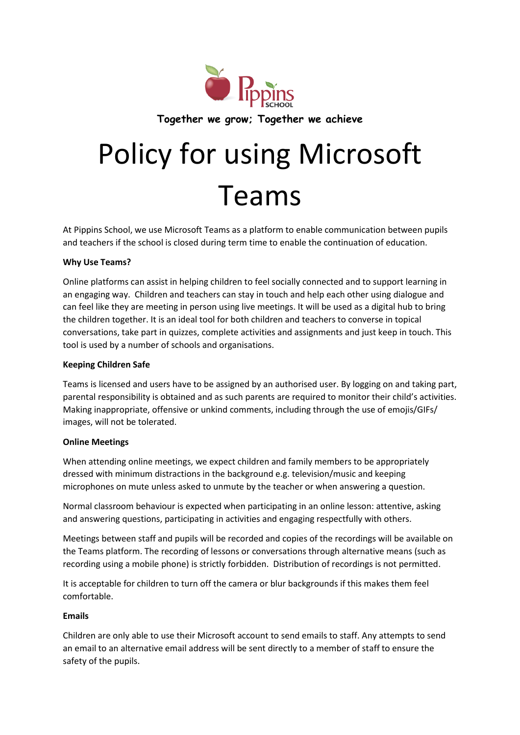

# Policy for using Microsoft Teams

At Pippins School, we use Microsoft Teams as a platform to enable communication between pupils and teachers if the school is closed during term time to enable the continuation of education.

## **Why Use Teams?**

Online platforms can assist in helping children to feel socially connected and to support learning in an engaging way. Children and teachers can stay in touch and help each other using dialogue and can feel like they are meeting in person using live meetings. It will be used as a digital hub to bring the children together. It is an ideal tool for both children and teachers to converse in topical conversations, take part in quizzes, complete activities and assignments and just keep in touch. This tool is used by a number of schools and organisations.

# **Keeping Children Safe**

Teams is licensed and users have to be assigned by an authorised user. By logging on and taking part, parental responsibility is obtained and as such parents are required to monitor their child's activities. Making inappropriate, offensive or unkind comments, including through the use of emojis/GIFs/ images, will not be tolerated.

#### **Online Meetings**

When attending online meetings, we expect children and family members to be appropriately dressed with minimum distractions in the background e.g. television/music and keeping microphones on mute unless asked to unmute by the teacher or when answering a question.

Normal classroom behaviour is expected when participating in an online lesson: attentive, asking and answering questions, participating in activities and engaging respectfully with others.

Meetings between staff and pupils will be recorded and copies of the recordings will be available on the Teams platform. The recording of lessons or conversations through alternative means (such as recording using a mobile phone) is strictly forbidden. Distribution of recordings is not permitted.

It is acceptable for children to turn off the camera or blur backgrounds if this makes them feel comfortable.

# **Emails**

Children are only able to use their Microsoft account to send emails to staff. Any attempts to send an email to an alternative email address will be sent directly to a member of staff to ensure the safety of the pupils.